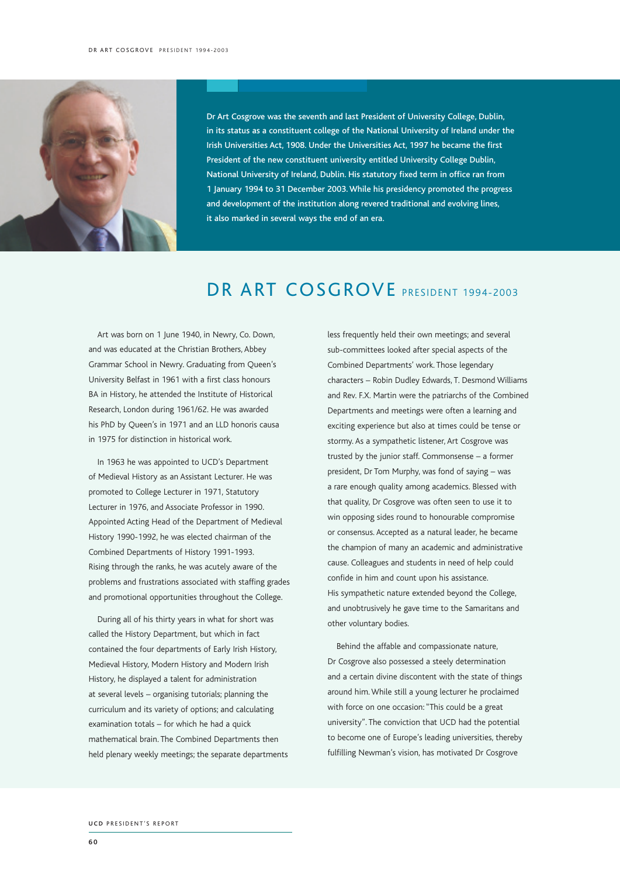

Dr Art Cosgrove was the seventh and last President of University College, Dublin, in its status as a constituent college of the National University of Ireland under the Irish Universities Act, 1908. Under the Universities Act, 1997 he became the first President of the new constituent university entitled University College Dublin, National University of Ireland, Dublin. His statutory fixed term in office ran from 1 January 1994 to 31 December 2003. While his presidency promoted the progress and development of the institution along revered traditional and evolving lines, it also marked in several ways the end of an era.

## DR ART COSGROVE PRESIDENT 1994-2003

Art was born on 1 June 1940, in Newry, Co. Down, and was educated at the Christian Brothers, Abbey Grammar School in Newry. Graduating from Queen's University Belfast in 1961 with a first class honours BA in History, he attended the Institute of Historical Research, London during 1961/62. He was awarded his PhD by Queen's in 1971 and an LLD honoris causa in 1975 for distinction in historical work.

In 1963 he was appointed to UCD's Department of Medieval History as an Assistant Lecturer. He was promoted to College Lecturer in 1971, Statutory Lecturer in 1976, and Associate Professor in 1990. Appointed Acting Head of the Department of Medieval History 1990-1992, he was elected chairman of the Combined Departments of History 1991-1993. Rising through the ranks, he was acutely aware of the problems and frustrations associated with staffing grades and promotional opportunities throughout the College.

During all of his thirty years in what for short was called the History Department, but which in fact contained the four departments of Early Irish History, Medieval History, Modern History and Modern Irish History, he displayed a talent for administration at several levels – organising tutorials; planning the curriculum and its variety of options; and calculating examination totals – for which he had a quick mathematical brain. The Combined Departments then held plenary weekly meetings; the separate departments less frequently held their own meetings; and several sub-committees looked after special aspects of the Combined Departments' work. Those legendary characters – Robin Dudley Edwards, T. Desmond Williams and Rev. F.X. Martin were the patriarchs of the Combined Departments and meetings were often a learning and exciting experience but also at times could be tense or stormy. As a sympathetic listener, Art Cosgrove was trusted by the junior staff. Commonsense – a former president, Dr Tom Murphy, was fond of saying – was a rare enough quality among academics. Blessed with that quality, Dr Cosgrove was often seen to use it to win opposing sides round to honourable compromise or consensus. Accepted as a natural leader, he became the champion of many an academic and administrative cause. Colleagues and students in need of help could confide in him and count upon his assistance. His sympathetic nature extended beyond the College, and unobtrusively he gave time to the Samaritans and other voluntary bodies.

Behind the affable and compassionate nature, Dr Cosgrove also possessed a steely determination and a certain divine discontent with the state of things around him. While still a young lecturer he proclaimed with force on one occasion: "This could be a great university". The conviction that UCD had the potential to become one of Europe's leading universities, thereby fulfilling Newman's vision, has motivated Dr Cosgrove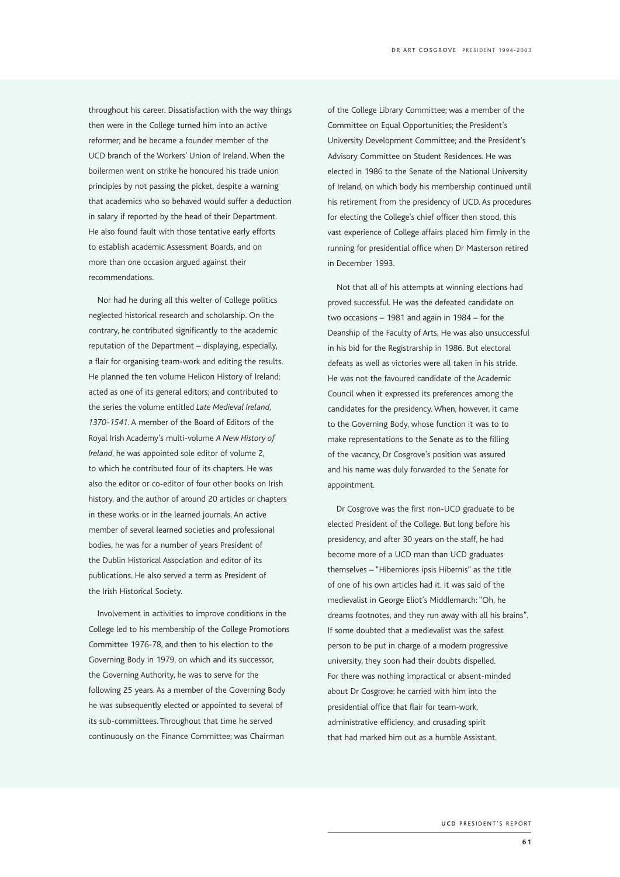throughout his career. Dissatisfaction with the way things then were in the College turned him into an active reformer; and he became a founder member of the UCD branch of the Workers' Union of Ireland. When the boilermen went on strike he honoured his trade union principles by not passing the picket, despite a warning that academics who so behaved would suffer a deduction in salary if reported by the head of their Department. He also found fault with those tentative early efforts to establish academic Assessment Boards, and on more than one occasion argued against their recommendations.

Nor had he during all this welter of College politics neglected historical research and scholarship. On the contrary, he contributed significantly to the academic reputation of the Department – displaying, especially, a flair for organising team-work and editing the results. He planned the ten volume Helicon History of Ireland; acted as one of its general editors; and contributed to the series the volume entitled *Late Medieval Ireland, 1370-1541*. A member of the Board of Editors of the Royal Irish Academy's multi-volume *A New History of Ireland*, he was appointed sole editor of volume 2, to which he contributed four of its chapters. He was also the editor or co-editor of four other books on Irish history, and the author of around 20 articles or chapters in these works or in the learned journals. An active member of several learned societies and professional bodies, he was for a number of years President of the Dublin Historical Association and editor of its publications. He also served a term as President of the Irish Historical Society.

Involvement in activities to improve conditions in the College led to his membership of the College Promotions Committee 1976-78, and then to his election to the Governing Body in 1979, on which and its successor, the Governing Authority, he was to serve for the following 25 years. As a member of the Governing Body he was subsequently elected or appointed to several of its sub-committees. Throughout that time he served continuously on the Finance Committee; was Chairman

of the College Library Committee; was a member of the Committee on Equal Opportunities; the President's University Development Committee; and the President's Advisory Committee on Student Residences. He was elected in 1986 to the Senate of the National University of Ireland, on which body his membership continued until his retirement from the presidency of UCD. As procedures for electing the College's chief officer then stood, this vast experience of College affairs placed him firmly in the running for presidential office when Dr Masterson retired in December 1993.

Not that all of his attempts at winning elections had proved successful. He was the defeated candidate on two occasions – 1981 and again in 1984 – for the Deanship of the Faculty of Arts. He was also unsuccessful in his bid for the Registrarship in 1986. But electoral defeats as well as victories were all taken in his stride. He was not the favoured candidate of the Academic Council when it expressed its preferences among the candidates for the presidency. When, however, it came to the Governing Body, whose function it was to to make representations to the Senate as to the filling of the vacancy, Dr Cosgrove's position was assured and his name was duly forwarded to the Senate for appointment.

Dr Cosgrove was the first non-UCD graduate to be elected President of the College. But long before his presidency, and after 30 years on the staff, he had become more of a UCD man than UCD graduates themselves – "Hiberniores ipsis Hibernis" as the title of one of his own articles had it. It was said of the medievalist in George Eliot's Middlemarch: "Oh, he dreams footnotes, and they run away with all his brains". If some doubted that a medievalist was the safest person to be put in charge of a modern progressive university, they soon had their doubts dispelled. For there was nothing impractical or absent-minded about Dr Cosgrove: he carried with him into the presidential office that flair for team-work, administrative efficiency, and crusading spirit that had marked him out as a humble Assistant.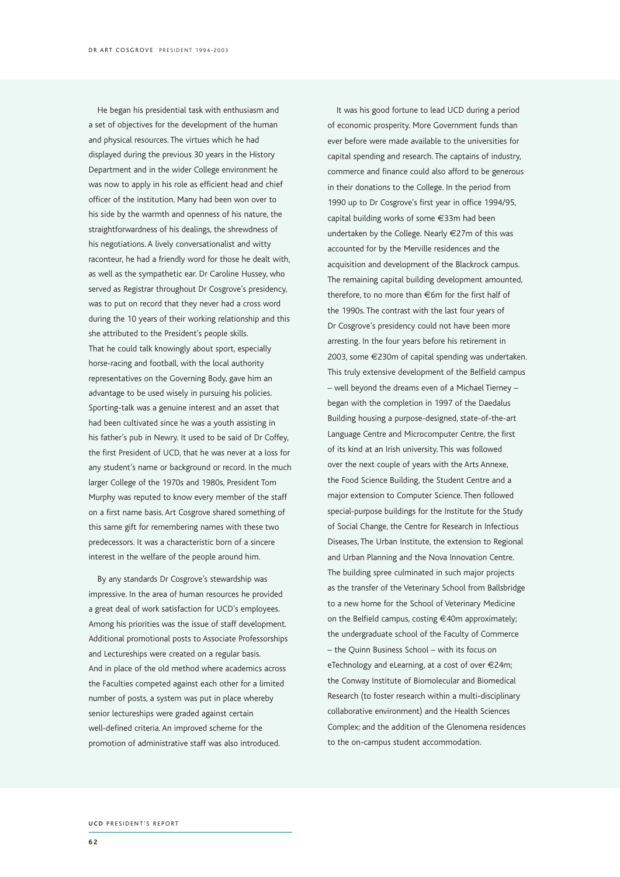He began his presidential task with enthusiasm and a set of objectives for the development of the human and physical resources. The virtues which he had displayed during the previous 30 years in the History Department and in the wider College environment he was now to apply in his role as efficient head and chief officer of the institution. Many had been won over to his side by the warmth and openness of his nature, the straightforwardness of his dealings, the shrewdness of his negotiations. A lively conversationalist and witty raconteur, he had a friendly word for those he dealt with, as well as the sympathetic ear. Dr Caroline Hussey, who served as Registrar throughout Dr Cosgrove's presidency, was to put on record that they never had a cross word during the 10 years of their working relationship and this she attributed to the President's people skills. That he could talk knowingly about sport, especially horse-racing and football, with the local authority representatives on the Governing Body, gave him an advantage to be used wisely in pursuing his policies. Sporting-talk was a genuine interest and an asset that had been cultivated since he was a youth assisting in his father's pub in Newry. It used to be said of Dr Coffey, the first President of UCD, that he was never at a loss for any student's name or background or record. In the much larger College of the 1970s and 1980s, President Tom Murphy was reputed to know every member of the staff on a first name basis. Art Cosgrove shared something of this same gift for remembering names with these two predecessors. It was a characteristic born of a sincere interest in the welfare of the people around him.

By any standards Dr Cosgrove's stewardship was impressive. In the area of human resources he provided a great deal of work satisfaction for UCD's employees. Among his priorities was the issue of staff development. Additional promotional posts to Associate Professorships and Lectureships were created on a regular basis. And in place of the old method where academics across the Faculties competed against each other for a limited number of posts, a system was put in place whereby senior lectureships were graded against certain well-defined criteria. An improved scheme for the promotion of administrative staff was also introduced.

It was his good fortune to lead UCD during a period of economic prosperity. More Government funds than ever before were made available to the universities for capital spending and research. The captains of industry, commerce and finance could also afford to be generous in their donations to the College. In the period from 1990 up to Dr Cosgrove's first year in office 1994/95, capital building works of some €33m had been undertaken by the College. Nearly €27m of this was accounted for by the Merville residences and the acquisition and development of the Blackrock campus. The remaining capital building development amounted, therefore, to no more than €6m for the first half of the 1990s. The contrast with the last four years of Dr Cosgrove's presidency could not have been more arresting. In the four years before his retirement in 2003, some €230m of capital spending was undertaken. This truly extensive development of the Belfield campus – well beyond the dreams even of a Michael Tierney – began with the completion in 1997 of the Daedalus Building housing a purpose-designed, state-of-the-art Language Centre and Microcomputer Centre, the first of its kind at an Irish university. This was followed over the next couple of years with the Arts Annexe, the Food Science Building, the Student Centre and a major extension to Computer Science. Then followed special-purpose buildings for the Institute for the Study of Social Change, the Centre for Research in Infectious Diseases, The Urban Institute, the extension to Regional and Urban Planning and the Nova Innovation Centre. The building spree culminated in such major projects as the transfer of the Veterinary School from Ballsbridge to a new home for the School of Veterinary Medicine on the Belfield campus, costing €40m approximately; the undergraduate school of the Faculty of Commerce – the Quinn Business School – with its focus on eTechnology and eLearning, at a cost of over €24m; the Conway Institute of Biomolecular and Biomedical Research (to foster research within a multi-disciplinary collaborative environment) and the Health Sciences Complex; and the addition of the Glenomena residences to the on-campus student accommodation.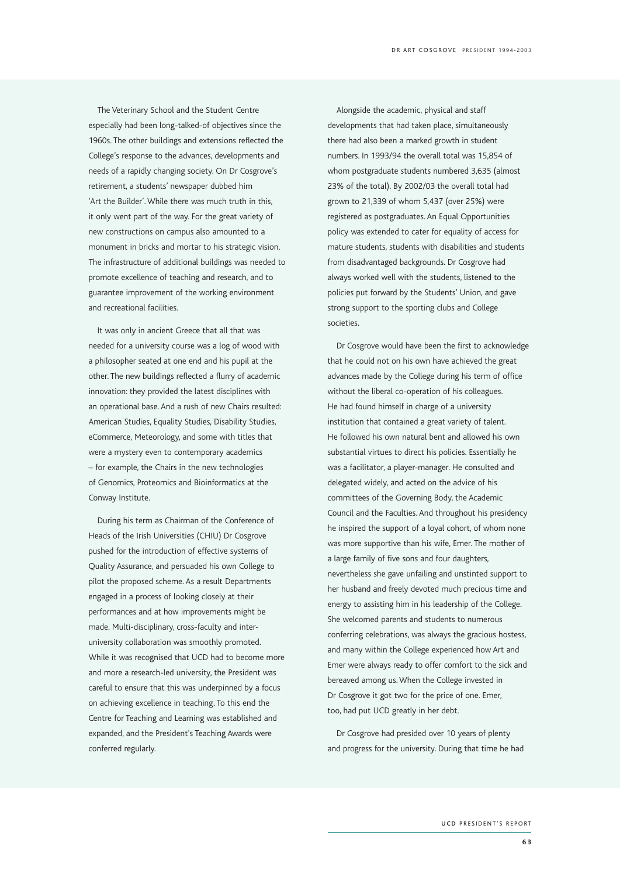The Veterinary School and the Student Centre especially had been long-talked-of objectives since the 1960s. The other buildings and extensions reflected the College's response to the advances, developments and needs of a rapidly changing society. On Dr Cosgrove's retirement, a students' newspaper dubbed him 'Art the Builder'. While there was much truth in this, it only went part of the way. For the great variety of new constructions on campus also amounted to a monument in bricks and mortar to his strategic vision. The infrastructure of additional buildings was needed to promote excellence of teaching and research, and to guarantee improvement of the working environment and recreational facilities.

It was only in ancient Greece that all that was needed for a university course was a log of wood with a philosopher seated at one end and his pupil at the other. The new buildings reflected a flurry of academic innovation: they provided the latest disciplines with an operational base. And a rush of new Chairs resulted: American Studies, Equality Studies, Disability Studies, eCommerce, Meteorology, and some with titles that were a mystery even to contemporary academics – for example, the Chairs in the new technologies of Genomics, Proteomics and Bioinformatics at the Conway Institute.

During his term as Chairman of the Conference of Heads of the Irish Universities (CHIU) Dr Cosgrove pushed for the introduction of effective systems of Quality Assurance, and persuaded his own College to pilot the proposed scheme. As a result Departments engaged in a process of looking closely at their performances and at how improvements might be made. Multi-disciplinary, cross-faculty and interuniversity collaboration was smoothly promoted. While it was recognised that UCD had to become more and more a research-led university, the President was careful to ensure that this was underpinned by a focus on achieving excellence in teaching. To this end the Centre for Teaching and Learning was established and expanded, and the President's Teaching Awards were conferred regularly.

Alongside the academic, physical and staff developments that had taken place, simultaneously there had also been a marked growth in student numbers. In 1993/94 the overall total was 15,854 of whom postgraduate students numbered 3,635 (almost 23% of the total). By 2002/03 the overall total had grown to 21,339 of whom 5,437 (over 25%) were registered as postgraduates. An Equal Opportunities policy was extended to cater for equality of access for mature students, students with disabilities and students from disadvantaged backgrounds. Dr Cosgrove had always worked well with the students, listened to the policies put forward by the Students' Union, and gave strong support to the sporting clubs and College societies.

Dr Cosgrove would have been the first to acknowledge that he could not on his own have achieved the great advances made by the College during his term of office without the liberal co-operation of his colleagues. He had found himself in charge of a university institution that contained a great variety of talent. He followed his own natural bent and allowed his own substantial virtues to direct his policies. Essentially he was a facilitator, a player-manager. He consulted and delegated widely, and acted on the advice of his committees of the Governing Body, the Academic Council and the Faculties. And throughout his presidency he inspired the support of a loyal cohort, of whom none was more supportive than his wife, Emer. The mother of a large family of five sons and four daughters, nevertheless she gave unfailing and unstinted support to her husband and freely devoted much precious time and energy to assisting him in his leadership of the College. She welcomed parents and students to numerous conferring celebrations, was always the gracious hostess, and many within the College experienced how Art and Emer were always ready to offer comfort to the sick and bereaved among us. When the College invested in Dr Cosgrove it got two for the price of one. Emer, too, had put UCD greatly in her debt.

Dr Cosgrove had presided over 10 years of plenty and progress for the university. During that time he had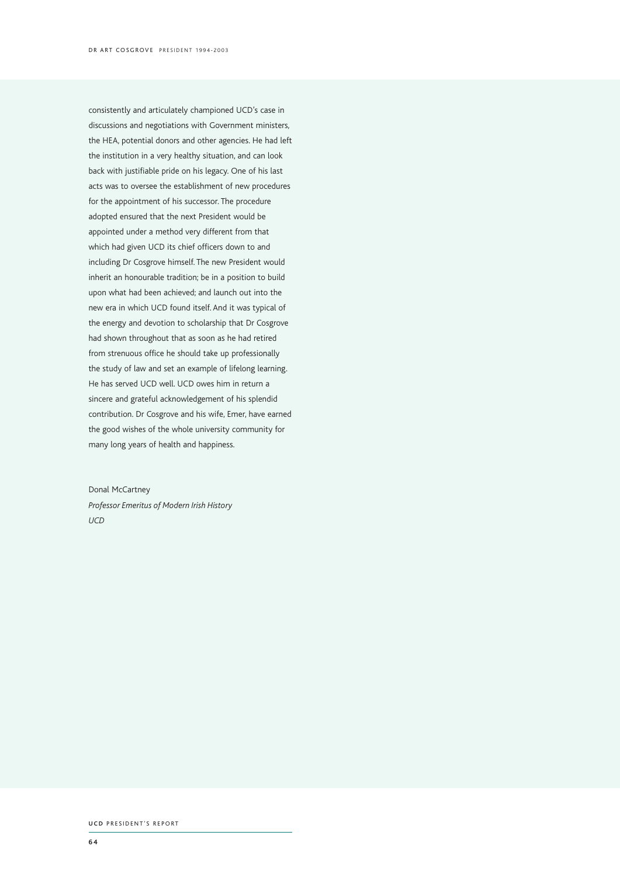consistently and articulately championed UCD's case in discussions and negotiations with Government ministers, the HEA, potential donors and other agencies. He had left the institution in a very healthy situation, and can look back with justifiable pride on his legacy. One of his last acts was to oversee the establishment of new procedures for the appointment of his successor. The procedure adopted ensured that the next President would be appointed under a method very different from that which had given UCD its chief officers down to and including Dr Cosgrove himself. The new President would inherit an honourable tradition; be in a position to build upon what had been achieved; and launch out into the new era in which UCD found itself. And it was typical of the energy and devotion to scholarship that Dr Cosgrove had shown throughout that as soon as he had retired from strenuous office he should take up professionally the study of law and set an example of lifelong learning. He has served UCD well. UCD owes him in return a sincere and grateful acknowledgement of his splendid contribution. Dr Cosgrove and his wife, Emer, have earned the good wishes of the whole university community for many long years of health and happiness.

Donal McCartney *Professor Emeritus of Modern Irish History UCD*

## **UCD** PRESIDENT'S REPORT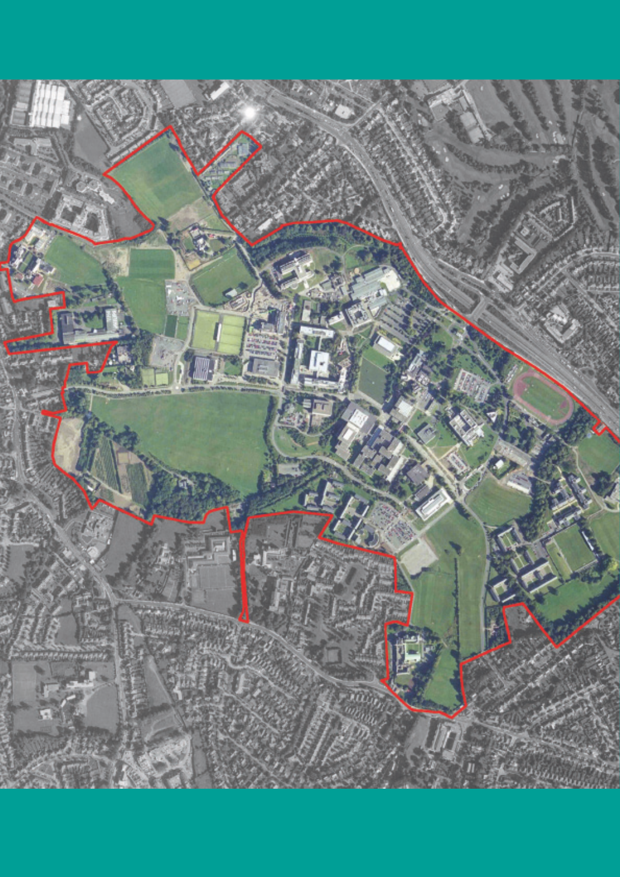